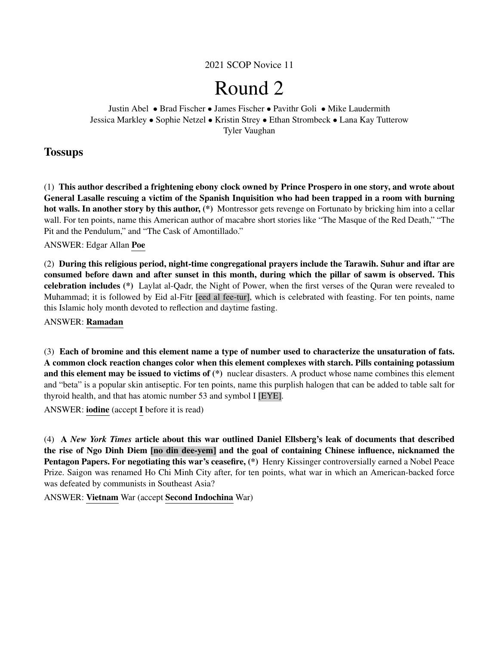2021 SCOP Novice 11

# Round 2

Justin Abel • Brad Fischer • James Fischer • Pavithr Goli • Mike Laudermith Jessica Markley • Sophie Netzel • Kristin Strey • Ethan Strombeck • Lana Kay Tutterow Tyler Vaughan

## **Tossups**

(1) This author described a frightening ebony clock owned by Prince Prospero in one story, and wrote about General Lasalle rescuing a victim of the Spanish Inquisition who had been trapped in a room with burning hot walls. In another story by this author, (\*) Montressor gets revenge on Fortunato by bricking him into a cellar wall. For ten points, name this American author of macabre short stories like "The Masque of the Red Death," "The Pit and the Pendulum," and "The Cask of Amontillado."

ANSWER: Edgar Allan Poe

(2) During this religious period, night-time congregational prayers include the Tarawih. Suhur and iftar are consumed before dawn and after sunset in this month, during which the pillar of sawm is observed. This celebration includes (\*) Laylat al-Qadr, the Night of Power, when the first verses of the Quran were revealed to Muhammad; it is followed by Eid al-Fitr [eed al fee-tur], which is celebrated with feasting. For ten points, name this Islamic holy month devoted to reflection and daytime fasting.

ANSWER: Ramadan

(3) Each of bromine and this element name a type of number used to characterize the unsaturation of fats. A common clock reaction changes color when this element complexes with starch. Pills containing potassium and this element may be issued to victims of (\*) nuclear disasters. A product whose name combines this element and "beta" is a popular skin antiseptic. For ten points, name this purplish halogen that can be added to table salt for thyroid health, and that has atomic number 53 and symbol I [EYE].

ANSWER: iodine (accept I before it is read)

(4) A *New York Times* article about this war outlined Daniel Ellsberg's leak of documents that described the rise of Ngo Dinh Diem [no din dee-yem] and the goal of containing Chinese influence, nicknamed the Pentagon Papers. For negotiating this war's ceasefire,  $(*)$  Henry Kissinger controversially earned a Nobel Peace Prize. Saigon was renamed Ho Chi Minh City after, for ten points, what war in which an American-backed force was defeated by communists in Southeast Asia?

ANSWER: Vietnam War (accept Second Indochina War)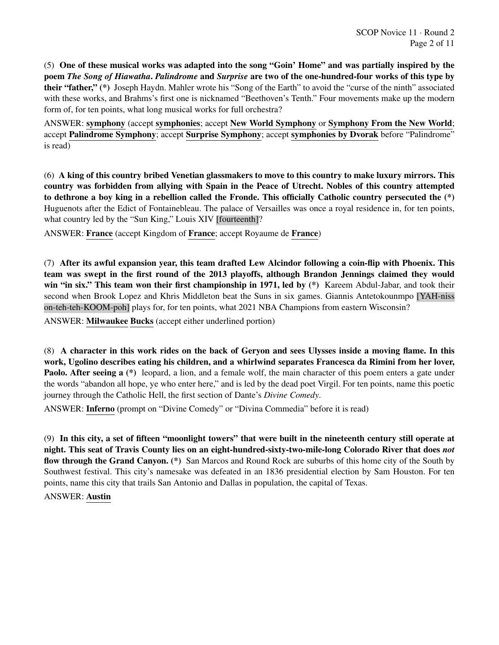(5) One of these musical works was adapted into the song "Goin' Home" and was partially inspired by the poem *The Song of Hiawatha*. *Palindrome* and *Surprise* are two of the one-hundred-four works of this type by their "father," (\*) Joseph Haydn. Mahler wrote his "Song of the Earth" to avoid the "curse of the ninth" associated with these works, and Brahms's first one is nicknamed "Beethoven's Tenth." Four movements make up the modern form of, for ten points, what long musical works for full orchestra?

ANSWER: symphony (accept symphonies; accept New World Symphony or Symphony From the New World; accept Palindrome Symphony; accept Surprise Symphony; accept symphonies by Dvorak before "Palindrome" is read)

(6) A king of this country bribed Venetian glassmakers to move to this country to make luxury mirrors. This country was forbidden from allying with Spain in the Peace of Utrecht. Nobles of this country attempted to dethrone a boy king in a rebellion called the Fronde. This officially Catholic country persecuted the (\*) Huguenots after the Edict of Fontainebleau. The palace of Versailles was once a royal residence in, for ten points, what country led by the "Sun King," Louis XIV [fourteenth]?

ANSWER: France (accept Kingdom of France; accept Royaume de France)

(7) After its awful expansion year, this team drafted Lew Alcindor following a coin-flip with Phoenix. This team was swept in the first round of the 2013 playoffs, although Brandon Jennings claimed they would win "in six." This team won their first championship in 1971, led by (\*) Kareem Abdul-Jabar, and took their second when Brook Lopez and Khris Middleton beat the Suns in six games. Giannis Antetokounmpo [YAH-niss on-teh-teh-KOOM-poh] plays for, for ten points, what 2021 NBA Champions from eastern Wisconsin?

ANSWER: Milwaukee Bucks (accept either underlined portion)

(8) A character in this work rides on the back of Geryon and sees Ulysses inside a moving flame. In this work, Ugolino describes eating his children, and a whirlwind separates Francesca da Rimini from her lover, **Paolo. After seeing a** (\*) leopard, a lion, and a female wolf, the main character of this poem enters a gate under the words "abandon all hope, ye who enter here," and is led by the dead poet Virgil. For ten points, name this poetic journey through the Catholic Hell, the first section of Dante's *Divine Comedy*.

ANSWER: Inferno (prompt on "Divine Comedy" or "Divina Commedia" before it is read)

(9) In this city, a set of fifteen "moonlight towers" that were built in the nineteenth century still operate at night. This seat of Travis County lies on an eight-hundred-sixty-two-mile-long Colorado River that does *not* flow through the Grand Canyon. (\*) San Marcos and Round Rock are suburbs of this home city of the South by Southwest festival. This city's namesake was defeated in an 1836 presidential election by Sam Houston. For ten points, name this city that trails San Antonio and Dallas in population, the capital of Texas.

ANSWER: Austin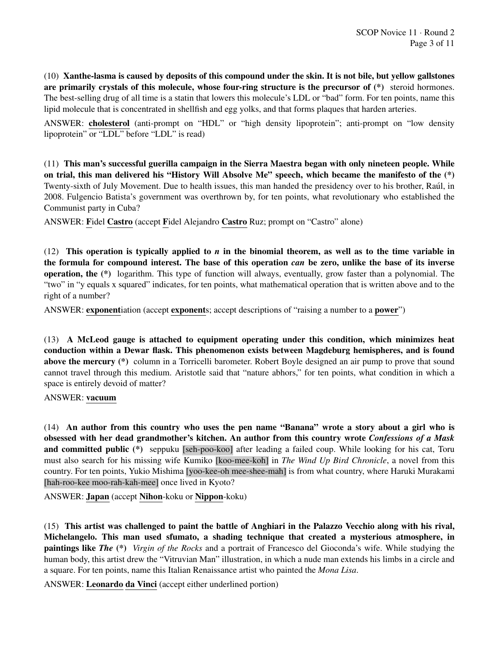(10) Xanthe-lasma is caused by deposits of this compound under the skin. It is not bile, but yellow gallstones are primarily crystals of this molecule, whose four-ring structure is the precursor of  $(*)$  steroid hormones. The best-selling drug of all time is a statin that lowers this molecule's LDL or "bad" form. For ten points, name this lipid molecule that is concentrated in shellfish and egg yolks, and that forms plaques that harden arteries.

ANSWER: cholesterol (anti-prompt on "HDL" or "high density lipoprotein"; anti-prompt on "low density lipoprotein" or "LDL" before "LDL" is read)

(11) This man's successful guerilla campaign in the Sierra Maestra began with only nineteen people. While on trial, this man delivered his "History Will Absolve Me" speech, which became the manifesto of the (\*) Twenty-sixth of July Movement. Due to health issues, this man handed the presidency over to his brother, Raul, in ´ 2008. Fulgencio Batista's government was overthrown by, for ten points, what revolutionary who established the Communist party in Cuba?

ANSWER: Fidel Castro (accept Fidel Alejandro Castro Ruz; prompt on "Castro" alone)

(12) This operation is typically applied to *n* in the binomial theorem, as well as to the time variable in the formula for compound interest. The base of this operation *can* be zero, unlike the base of its inverse operation, the (\*) logarithm. This type of function will always, eventually, grow faster than a polynomial. The "two" in "y equals x squared" indicates, for ten points, what mathematical operation that is written above and to the right of a number?

ANSWER: exponentiation (accept exponents; accept descriptions of "raising a number to a power")

(13) A McLeod gauge is attached to equipment operating under this condition, which minimizes heat conduction within a Dewar flask. This phenomenon exists between Magdeburg hemispheres, and is found above the mercury (\*) column in a Torricelli barometer. Robert Boyle designed an air pump to prove that sound cannot travel through this medium. Aristotle said that "nature abhors," for ten points, what condition in which a space is entirely devoid of matter?

ANSWER: vacuum

(14) An author from this country who uses the pen name "Banana" wrote a story about a girl who is obsessed with her dead grandmother's kitchen. An author from this country wrote *Confessions of a Mask* and committed public (\*) seppuku [seh-poo-koo] after leading a failed coup. While looking for his cat, Toru must also search for his missing wife Kumiko [koo-mee-koh] in *The Wind Up Bird Chronicle*, a novel from this country. For ten points, Yukio Mishima [yoo-kee-oh mee-shee-mah] is from what country, where Haruki Murakami [hah-roo-kee moo-rah-kah-mee] once lived in Kyoto?

ANSWER: Japan (accept Nihon-koku or Nippon-koku)

(15) This artist was challenged to paint the battle of Anghiari in the Palazzo Vecchio along with his rival, Michelangelo. This man used sfumato, a shading technique that created a mysterious atmosphere, in paintings like *The* (\*) *Virgin of the Rocks* and a portrait of Francesco del Gioconda's wife. While studying the human body, this artist drew the "Vitruvian Man" illustration, in which a nude man extends his limbs in a circle and a square. For ten points, name this Italian Renaissance artist who painted the *Mona Lisa*.

ANSWER: Leonardo da Vinci (accept either underlined portion)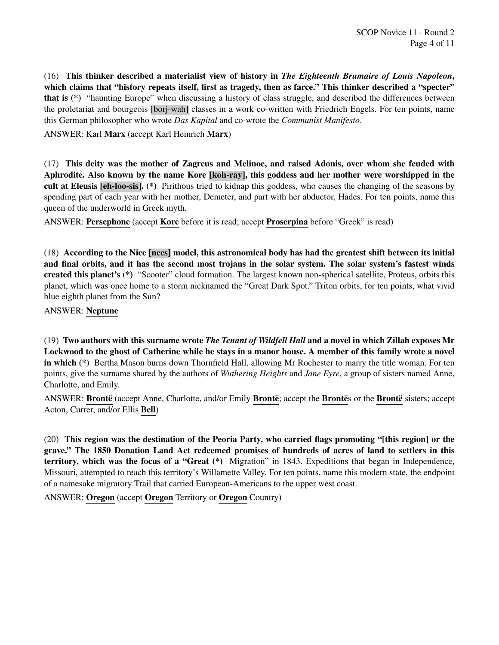(16) This thinker described a materialist view of history in *The Eighteenth Brumaire of Louis Napoleon*, which claims that "history repeats itself, first as tragedy, then as farce." This thinker described a "specter" that is (\*) "haunting Europe" when discussing a history of class struggle, and described the differences between the proletariat and bourgeois [borj-wah] classes in a work co-written with Friedrich Engels. For ten points, name this German philosopher who wrote *Das Kapital* and co-wrote the *Communist Manifesto*.

ANSWER: Karl Marx (accept Karl Heinrich Marx)

(17) This deity was the mother of Zagreus and Melinoe, and raised Adonis, over whom she feuded with Aphrodite. Also known by the name Kore [koh-ray], this goddess and her mother were worshipped in the cult at Eleusis [eh-loo-sis]. (\*) Pirithous tried to kidnap this goddess, who causes the changing of the seasons by spending part of each year with her mother, Demeter, and part with her abductor, Hades. For ten points, name this queen of the underworld in Greek myth.

ANSWER: Persephone (accept Kore before it is read; accept Proserpina before "Greek" is read)

(18) According to the Nice [nees] model, this astronomical body has had the greatest shift between its initial and final orbits, and it has the second most trojans in the solar system. The solar system's fastest winds created this planet's (\*) "Scooter" cloud formation. The largest known non-spherical satellite, Proteus, orbits this planet, which was once home to a storm nicknamed the "Great Dark Spot." Triton orbits, for ten points, what vivid blue eighth planet from the Sun?

ANSWER: Neptune

(19) Two authors with this surname wrote *The Tenant of Wildfell Hall* and a novel in which Zillah exposes Mr Lockwood to the ghost of Catherine while he stays in a manor house. A member of this family wrote a novel in which (\*) Bertha Mason burns down Thornfield Hall, allowing Mr Rochester to marry the title woman. For ten points, give the surname shared by the authors of *Wuthering Heights* and *Jane Eyre*, a group of sisters named Anne, Charlotte, and Emily.

ANSWER: Brontë (accept Anne, Charlotte, and/or Emily Brontë; accept the Brontës or the Brontë sisters; accept Acton, Currer, and/or Ellis Bell)

(20) This region was the destination of the Peoria Party, who carried flags promoting "[this region] or the grave." The 1850 Donation Land Act redeemed promises of hundreds of acres of land to settlers in this territory, which was the focus of a "Great (\*) Migration" in 1843. Expeditions that began in Independence, Missouri, attempted to reach this territory's Willamette Valley. For ten points, name this modern state, the endpoint of a namesake migratory Trail that carried European-Americans to the upper west coast.

ANSWER: Oregon (accept Oregon Territory or Oregon Country)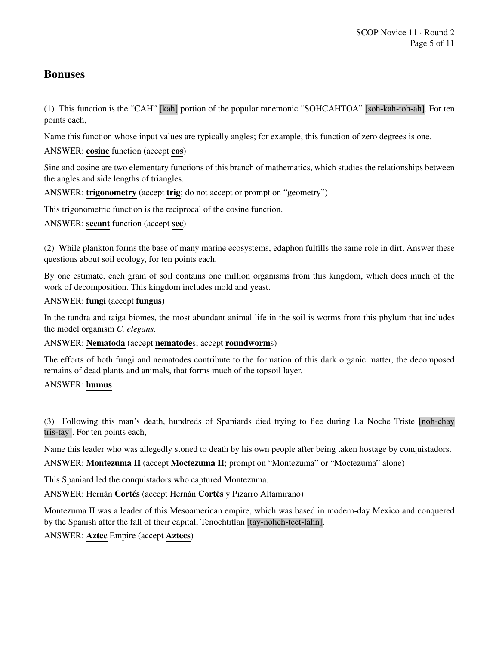## Bonuses

(1) This function is the "CAH" [kah] portion of the popular mnemonic "SOHCAHTOA" [soh-kah-toh-ah]. For ten points each,

Name this function whose input values are typically angles; for example, this function of zero degrees is one.

ANSWER: cosine function (accept cos)

Sine and cosine are two elementary functions of this branch of mathematics, which studies the relationships between the angles and side lengths of triangles.

ANSWER: trigonometry (accept trig; do not accept or prompt on "geometry")

This trigonometric function is the reciprocal of the cosine function.

ANSWER: secant function (accept sec)

(2) While plankton forms the base of many marine ecosystems, edaphon fulfills the same role in dirt. Answer these questions about soil ecology, for ten points each.

By one estimate, each gram of soil contains one million organisms from this kingdom, which does much of the work of decomposition. This kingdom includes mold and yeast.

## ANSWER: fungi (accept fungus)

In the tundra and taiga biomes, the most abundant animal life in the soil is worms from this phylum that includes the model organism *C. elegans*.

## ANSWER: Nematoda (accept nematodes; accept roundworms)

The efforts of both fungi and nematodes contribute to the formation of this dark organic matter, the decomposed remains of dead plants and animals, that forms much of the topsoil layer.

## ANSWER: humus

(3) Following this man's death, hundreds of Spaniards died trying to flee during La Noche Triste [noh-chay tris-tay]. For ten points each,

Name this leader who was allegedly stoned to death by his own people after being taken hostage by conquistadors.

ANSWER: Montezuma II (accept Moctezuma II; prompt on "Montezuma" or "Moctezuma" alone)

This Spaniard led the conquistadors who captured Montezuma.

ANSWER: Hernán Cortés (accept Hernán Cortés y Pizarro Altamirano)

Montezuma II was a leader of this Mesoamerican empire, which was based in modern-day Mexico and conquered by the Spanish after the fall of their capital, Tenochtitlan [tay-nohch-teet-lahn].

ANSWER: Aztec Empire (accept Aztecs)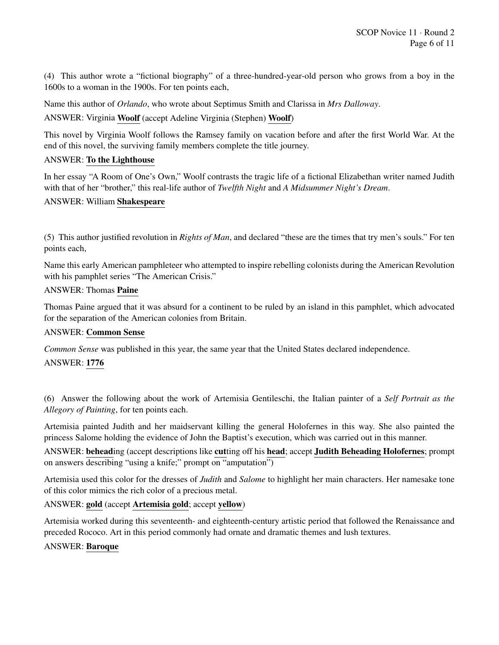(4) This author wrote a "fictional biography" of a three-hundred-year-old person who grows from a boy in the 1600s to a woman in the 1900s. For ten points each,

Name this author of *Orlando*, who wrote about Septimus Smith and Clarissa in *Mrs Dalloway*.

ANSWER: Virginia Woolf (accept Adeline Virginia (Stephen) Woolf)

This novel by Virginia Woolf follows the Ramsey family on vacation before and after the first World War. At the end of this novel, the surviving family members complete the title journey.

## ANSWER: To the Lighthouse

In her essay "A Room of One's Own," Woolf contrasts the tragic life of a fictional Elizabethan writer named Judith with that of her "brother," this real-life author of *Twelfth Night* and *A Midsummer Night's Dream*.

## ANSWER: William Shakespeare

(5) This author justified revolution in *Rights of Man*, and declared "these are the times that try men's souls." For ten points each,

Name this early American pamphleteer who attempted to inspire rebelling colonists during the American Revolution with his pamphlet series "The American Crisis."

## ANSWER: Thomas Paine

Thomas Paine argued that it was absurd for a continent to be ruled by an island in this pamphlet, which advocated for the separation of the American colonies from Britain.

## ANSWER: Common Sense

*Common Sense* was published in this year, the same year that the United States declared independence.

## ANSWER: 1776

(6) Answer the following about the work of Artemisia Gentileschi, the Italian painter of a *Self Portrait as the Allegory of Painting*, for ten points each.

Artemisia painted Judith and her maidservant killing the general Holofernes in this way. She also painted the princess Salome holding the evidence of John the Baptist's execution, which was carried out in this manner.

ANSWER: beheading (accept descriptions like cutting off his head; accept Judith Beheading Holofernes; prompt on answers describing "using a knife;" prompt on "amputation")

Artemisia used this color for the dresses of *Judith* and *Salome* to highlight her main characters. Her namesake tone of this color mimics the rich color of a precious metal.

## ANSWER: gold (accept Artemisia gold; accept yellow)

Artemisia worked during this seventeenth- and eighteenth-century artistic period that followed the Renaissance and preceded Rococo. Art in this period commonly had ornate and dramatic themes and lush textures.

## ANSWER: Baroque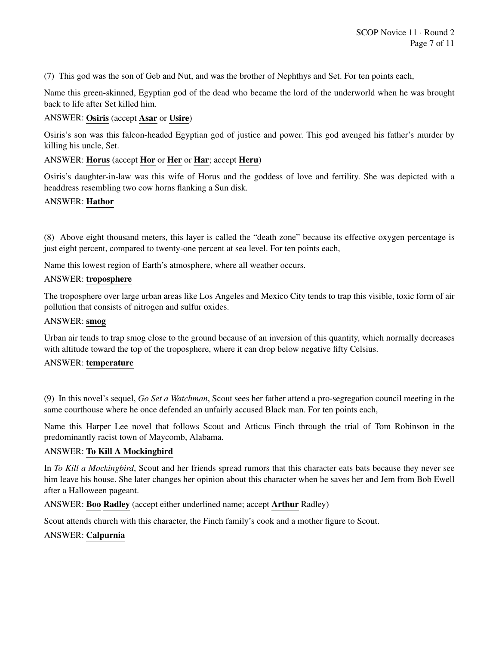(7) This god was the son of Geb and Nut, and was the brother of Nephthys and Set. For ten points each,

Name this green-skinned, Egyptian god of the dead who became the lord of the underworld when he was brought back to life after Set killed him.

## ANSWER: Osiris (accept Asar or Usire)

Osiris's son was this falcon-headed Egyptian god of justice and power. This god avenged his father's murder by killing his uncle, Set.

## ANSWER: Horus (accept Hor or Her or Har; accept Heru)

Osiris's daughter-in-law was this wife of Horus and the goddess of love and fertility. She was depicted with a headdress resembling two cow horns flanking a Sun disk.

## ANSWER: Hathor

(8) Above eight thousand meters, this layer is called the "death zone" because its effective oxygen percentage is just eight percent, compared to twenty-one percent at sea level. For ten points each,

Name this lowest region of Earth's atmosphere, where all weather occurs.

## ANSWER: troposphere

The troposphere over large urban areas like Los Angeles and Mexico City tends to trap this visible, toxic form of air pollution that consists of nitrogen and sulfur oxides.

#### ANSWER: smog

Urban air tends to trap smog close to the ground because of an inversion of this quantity, which normally decreases with altitude toward the top of the troposphere, where it can drop below negative fifty Celsius.

## ANSWER: temperature

(9) In this novel's sequel, *Go Set a Watchman*, Scout sees her father attend a pro-segregation council meeting in the same courthouse where he once defended an unfairly accused Black man. For ten points each,

Name this Harper Lee novel that follows Scout and Atticus Finch through the trial of Tom Robinson in the predominantly racist town of Maycomb, Alabama.

## ANSWER: To Kill A Mockingbird

In *To Kill a Mockingbird*, Scout and her friends spread rumors that this character eats bats because they never see him leave his house. She later changes her opinion about this character when he saves her and Jem from Bob Ewell after a Halloween pageant.

ANSWER: Boo Radley (accept either underlined name; accept Arthur Radley)

Scout attends church with this character, the Finch family's cook and a mother figure to Scout.

## ANSWER: Calpurnia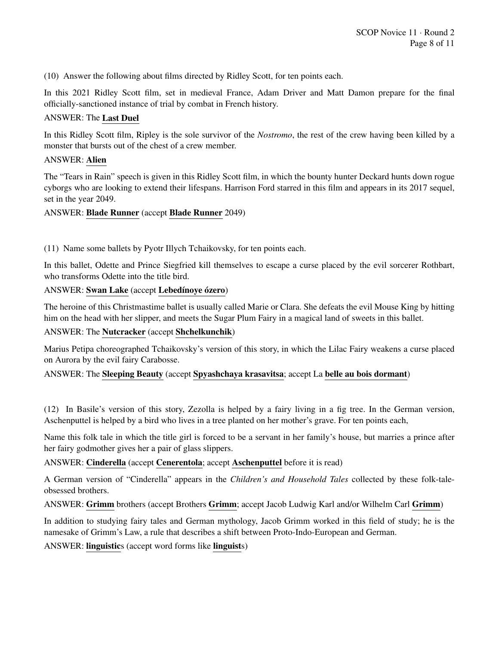(10) Answer the following about films directed by Ridley Scott, for ten points each.

In this 2021 Ridley Scott film, set in medieval France, Adam Driver and Matt Damon prepare for the final officially-sanctioned instance of trial by combat in French history.

## ANSWER: The Last Duel

In this Ridley Scott film, Ripley is the sole survivor of the *Nostromo*, the rest of the crew having been killed by a monster that bursts out of the chest of a crew member.

## ANSWER: Alien

The "Tears in Rain" speech is given in this Ridley Scott film, in which the bounty hunter Deckard hunts down rogue cyborgs who are looking to extend their lifespans. Harrison Ford starred in this film and appears in its 2017 sequel, set in the year 2049.

## ANSWER: Blade Runner (accept Blade Runner 2049)

(11) Name some ballets by Pyotr Illych Tchaikovsky, for ten points each.

In this ballet, Odette and Prince Siegfried kill themselves to escape a curse placed by the evil sorcerer Rothbart, who transforms Odette into the title bird.

## ANSWER: Swan Lake (accept Lebedínoye ózero)

The heroine of this Christmastime ballet is usually called Marie or Clara. She defeats the evil Mouse King by hitting him on the head with her slipper, and meets the Sugar Plum Fairy in a magical land of sweets in this ballet.

## ANSWER: The Nutcracker (accept Shchelkunchik)

Marius Petipa choreographed Tchaikovsky's version of this story, in which the Lilac Fairy weakens a curse placed on Aurora by the evil fairy Carabosse.

## ANSWER: The Sleeping Beauty (accept Spyashchaya krasavitsa; accept La belle au bois dormant)

(12) In Basile's version of this story, Zezolla is helped by a fairy living in a fig tree. In the German version, Aschenputtel is helped by a bird who lives in a tree planted on her mother's grave. For ten points each,

Name this folk tale in which the title girl is forced to be a servant in her family's house, but marries a prince after her fairy godmother gives her a pair of glass slippers.

## ANSWER: Cinderella (accept Cenerentola; accept Aschenputtel before it is read)

A German version of "Cinderella" appears in the *Children's and Household Tales* collected by these folk-taleobsessed brothers.

ANSWER: Grimm brothers (accept Brothers Grimm; accept Jacob Ludwig Karl and/or Wilhelm Carl Grimm)

In addition to studying fairy tales and German mythology, Jacob Grimm worked in this field of study; he is the namesake of Grimm's Law, a rule that describes a shift between Proto-Indo-European and German.

ANSWER: linguistics (accept word forms like linguists)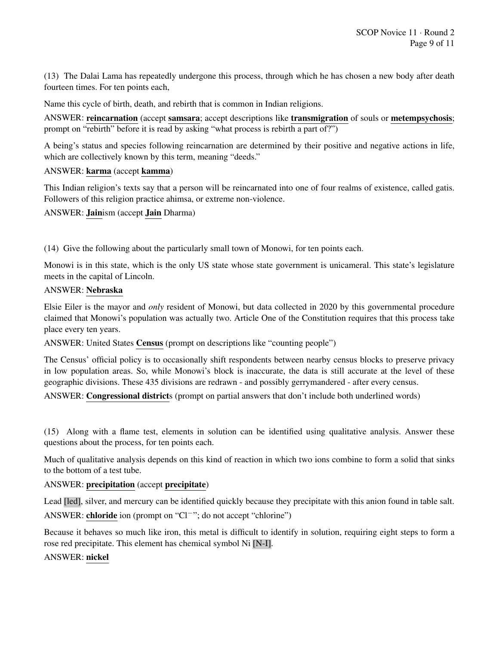(13) The Dalai Lama has repeatedly undergone this process, through which he has chosen a new body after death fourteen times. For ten points each,

Name this cycle of birth, death, and rebirth that is common in Indian religions.

ANSWER: reincarnation (accept samsara; accept descriptions like transmigration of souls or metempsychosis; prompt on "rebirth" before it is read by asking "what process is rebirth a part of?")

A being's status and species following reincarnation are determined by their positive and negative actions in life, which are collectively known by this term, meaning "deeds."

## ANSWER: karma (accept kamma)

This Indian religion's texts say that a person will be reincarnated into one of four realms of existence, called gatis. Followers of this religion practice ahimsa, or extreme non-violence.

ANSWER: Jainism (accept Jain Dharma)

(14) Give the following about the particularly small town of Monowi, for ten points each.

Monowi is in this state, which is the only US state whose state government is unicameral. This state's legislature meets in the capital of Lincoln.

#### ANSWER: Nebraska

Elsie Eiler is the mayor and *only* resident of Monowi, but data collected in 2020 by this governmental procedure claimed that Monowi's population was actually two. Article One of the Constitution requires that this process take place every ten years.

ANSWER: United States Census (prompt on descriptions like "counting people")

The Census' official policy is to occasionally shift respondents between nearby census blocks to preserve privacy in low population areas. So, while Monowi's block is inaccurate, the data is still accurate at the level of these geographic divisions. These 435 divisions are redrawn - and possibly gerrymandered - after every census.

ANSWER: Congressional districts (prompt on partial answers that don't include both underlined words)

(15) Along with a flame test, elements in solution can be identified using qualitative analysis. Answer these questions about the process, for ten points each.

Much of qualitative analysis depends on this kind of reaction in which two ions combine to form a solid that sinks to the bottom of a test tube.

#### ANSWER: precipitation (accept precipitate)

Lead [led], silver, and mercury can be identified quickly because they precipitate with this anion found in table salt. ANSWER: chloride ion (prompt on "Cl−"; do not accept "chlorine")

Because it behaves so much like iron, this metal is difficult to identify in solution, requiring eight steps to form a rose red precipitate. This element has chemical symbol Ni [N-I].

## ANSWER: nickel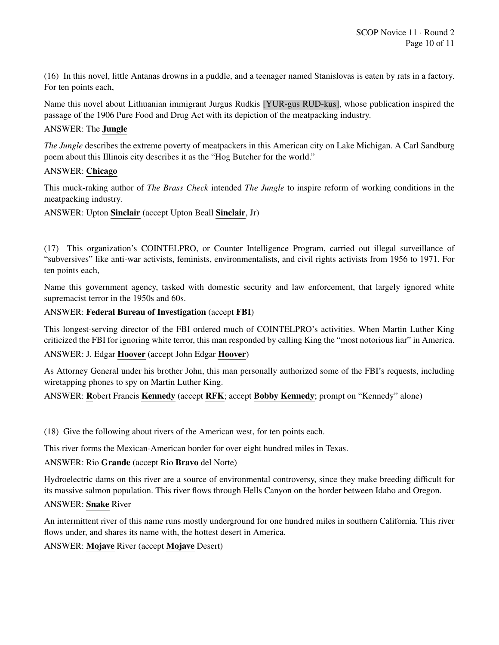(16) In this novel, little Antanas drowns in a puddle, and a teenager named Stanislovas is eaten by rats in a factory. For ten points each,

Name this novel about Lithuanian immigrant Jurgus Rudkis [YUR-gus RUD-kus], whose publication inspired the passage of the 1906 Pure Food and Drug Act with its depiction of the meatpacking industry.

## ANSWER: The Jungle

*The Jungle* describes the extreme poverty of meatpackers in this American city on Lake Michigan. A Carl Sandburg poem about this Illinois city describes it as the "Hog Butcher for the world."

## ANSWER: Chicago

This muck-raking author of *The Brass Check* intended *The Jungle* to inspire reform of working conditions in the meatpacking industry.

ANSWER: Upton Sinclair (accept Upton Beall Sinclair, Jr)

(17) This organization's COINTELPRO, or Counter Intelligence Program, carried out illegal surveillance of "subversives" like anti-war activists, feminists, environmentalists, and civil rights activists from 1956 to 1971. For ten points each,

Name this government agency, tasked with domestic security and law enforcement, that largely ignored white supremacist terror in the 1950s and 60s.

## ANSWER: Federal Bureau of Investigation (accept FBI)

This longest-serving director of the FBI ordered much of COINTELPRO's activities. When Martin Luther King criticized the FBI for ignoring white terror, this man responded by calling King the "most notorious liar" in America.

ANSWER: J. Edgar Hoover (accept John Edgar Hoover)

As Attorney General under his brother John, this man personally authorized some of the FBI's requests, including wiretapping phones to spy on Martin Luther King.

ANSWER: Robert Francis Kennedy (accept RFK; accept Bobby Kennedy; prompt on "Kennedy" alone)

(18) Give the following about rivers of the American west, for ten points each.

This river forms the Mexican-American border for over eight hundred miles in Texas.

## ANSWER: Rio Grande (accept Rio Bravo del Norte)

Hydroelectric dams on this river are a source of environmental controversy, since they make breeding difficult for its massive salmon population. This river flows through Hells Canyon on the border between Idaho and Oregon. ANSWER: Snake River

An intermittent river of this name runs mostly underground for one hundred miles in southern California. This river flows under, and shares its name with, the hottest desert in America.

ANSWER: Mojave River (accept Mojave Desert)